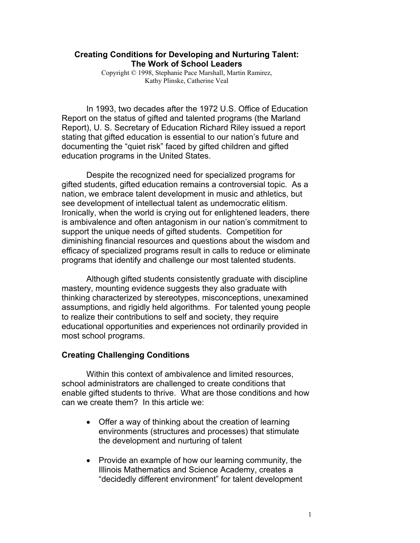### **Creating Conditions for Developing and Nurturing Talent: The Work of School Leaders**

Copyright © 1998, Stephanie Pace Marshall, Martin Ramirez, Kathy Plinske, Catherine Veal

In 1993, two decades after the 1972 U.S. Office of Education Report on the status of gifted and talented programs (the Marland Report), U. S. Secretary of Education Richard Riley issued a report stating that gifted education is essential to our nation's future and documenting the "quiet risk" faced by gifted children and gifted education programs in the United States.

Despite the recognized need for specialized programs for gifted students, gifted education remains a controversial topic. As a nation, we embrace talent development in music and athletics, but see development of intellectual talent as undemocratic elitism. Ironically, when the world is crying out for enlightened leaders, there is ambivalence and often antagonism in our nation's commitment to support the unique needs of gifted students. Competition for diminishing financial resources and questions about the wisdom and efficacy of specialized programs result in calls to reduce or eliminate programs that identify and challenge our most talented students.

Although gifted students consistently graduate with discipline mastery, mounting evidence suggests they also graduate with thinking characterized by stereotypes, misconceptions, unexamined assumptions, and rigidly held algorithms. For talented young people to realize their contributions to self and society, they require educational opportunities and experiences not ordinarily provided in most school programs.

# **Creating Challenging Conditions**

Within this context of ambivalence and limited resources, school administrators are challenged to create conditions that enable gifted students to thrive. What are those conditions and how can we create them? In this article we:

- $\bullet$  Offer a way of thinking about the creation of learning environments (structures and processes) that stimulate the development and nurturing of talent
- Provide an example of how our learning community, the Illinois Mathematics and Science Academy, creates a "decidedly different environment" for talent development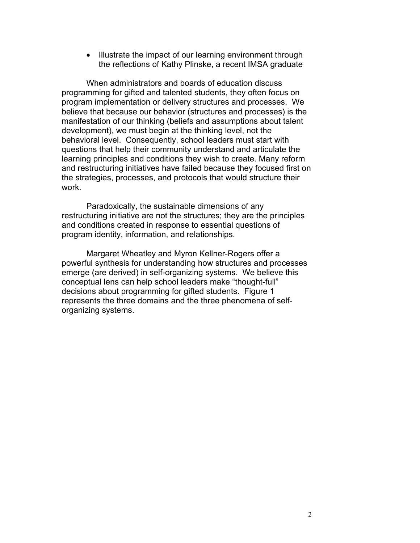• Illustrate the impact of our learning environment through the reflections of Kathy Plinske, a recent IMSA graduate

When administrators and boards of education discuss programming for gifted and talented students, they often focus on program implementation or delivery structures and processes. We believe that because our behavior (structures and processes) is the manifestation of our thinking (beliefs and assumptions about talent development), we must begin at the thinking level, not the behavioral level. Consequently, school leaders must start with questions that help their community understand and articulate the learning principles and conditions they wish to create. Many reform and restructuring initiatives have failed because they focused first on the strategies, processes, and protocols that would structure their work.

Paradoxically, the sustainable dimensions of any restructuring initiative are not the structures; they are the principles and conditions created in response to essential questions of program identity, information, and relationships.

Margaret Wheatley and Myron Kellner-Rogers offer a powerful synthesis for understanding how structures and processes emerge (are derived) in self-organizing systems. We believe this conceptual lens can help school leaders make "thought-full" decisions about programming for gifted students. Figure 1 represents the three domains and the three phenomena of selforganizing systems.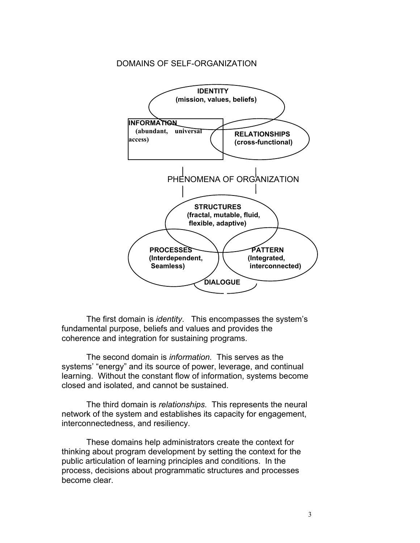### DOMAINS OF SELF-ORGANIZATION



The first domain is *identity*. This encompasses the system's fundamental purpose, beliefs and values and provides the coherence and integration for sustaining programs.

The second domain is *information.* This serves as the systems' "energy" and its source of power, leverage, and continual learning. Without the constant flow of information, systems become closed and isolated, and cannot be sustained.

The third domain is *relationships.* This represents the neural network of the system and establishes its capacity for engagement, interconnectedness, and resiliency.

These domains help administrators create the context for thinking about program development by setting the context for the public articulation of learning principles and conditions. In the process, decisions about programmatic structures and processes become clear.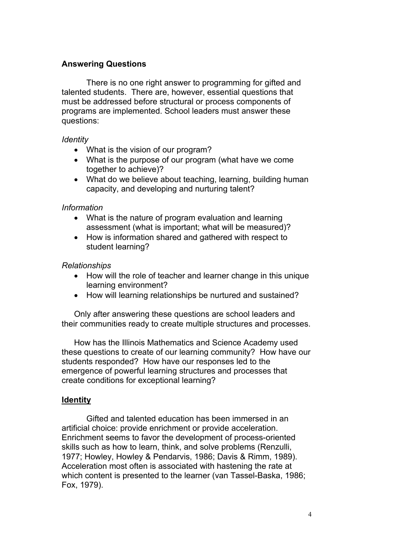# **Answering Questions**

There is no one right answer to programming for gifted and talented students. There are, however, essential questions that must be addressed before structural or process components of programs are implemented. School leaders must answer these questions:

### *Identity*

- What is the vision of our program?
- What is the purpose of our program (what have we come together to achieve)?
- What do we believe about teaching, learning, building human capacity, and developing and nurturing talent?

# *Information*

- What is the nature of program evaluation and learning assessment (what is important; what will be measured)?
- How is information shared and gathered with respect to student learning?

# *Relationships*

- How will the role of teacher and learner change in this unique learning environment?
- How will learning relationships be nurtured and sustained?

Only after answering these questions are school leaders and their communities ready to create multiple structures and processes.

How has the Illinois Mathematics and Science Academy used these questions to create of our learning community? How have our students responded? How have our responses led to the emergence of powerful learning structures and processes that create conditions for exceptional learning?

# **Identity**

Gifted and talented education has been immersed in an artificial choice: provide enrichment or provide acceleration. Enrichment seems to favor the development of process-oriented skills such as how to learn, think, and solve problems (Renzulli, 1977; Howley, Howley & Pendarvis, 1986; Davis & Rimm, 1989). Acceleration most often is associated with hastening the rate at which content is presented to the learner (van Tassel-Baska, 1986; Fox, 1979).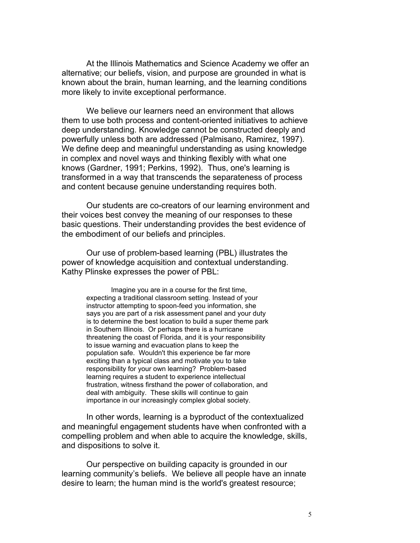At the Illinois Mathematics and Science Academy we offer an alternative; our beliefs, vision, and purpose are grounded in what is known about the brain, human learning, and the learning conditions more likely to invite exceptional performance.

We believe our learners need an environment that allows them to use both process and content-oriented initiatives to achieve deep understanding. Knowledge cannot be constructed deeply and powerfully unless both are addressed (Palmisano, Ramirez, 1997). We define deep and meaningful understanding as using knowledge in complex and novel ways and thinking flexibly with what one knows (Gardner, 1991; Perkins, 1992). Thus, one's learning is transformed in a way that transcends the separateness of process and content because genuine understanding requires both.

Our students are co-creators of our learning environment and their voices best convey the meaning of our responses to these basic questions. Their understanding provides the best evidence of the embodiment of our beliefs and principles.

Our use of problem-based learning (PBL) illustrates the power of knowledge acquisition and contextual understanding. Kathy Plinske expresses the power of PBL:

> Imagine you are in a course for the first time, expecting a traditional classroom setting. Instead of your instructor attempting to spoon-feed you information, she says you are part of a risk assessment panel and your duty is to determine the best location to build a super theme park in Southern Illinois. Or perhaps there is a hurricane threatening the coast of Florida, and it is your responsibility to issue warning and evacuation plans to keep the population safe. Wouldn't this experience be far more exciting than a typical class and motivate you to take responsibility for your own learning? Problem-based learning requires a student to experience intellectual frustration, witness firsthand the power of collaboration, and deal with ambiguity. These skills will continue to gain importance in our increasingly complex global society.

In other words, learning is a byproduct of the contextualized and meaningful engagement students have when confronted with a compelling problem and when able to acquire the knowledge, skills, and dispositions to solve it.

Our perspective on building capacity is grounded in our learning community's beliefs. We believe all people have an innate desire to learn; the human mind is the world's greatest resource;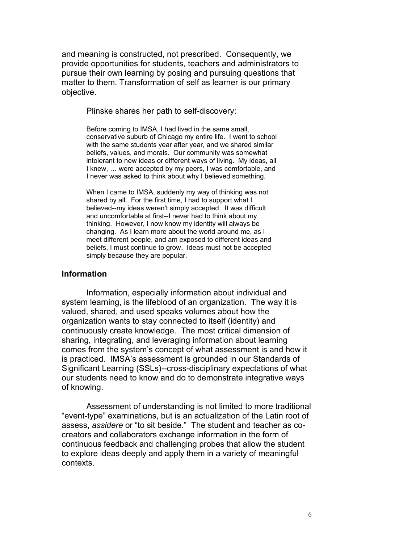and meaning is constructed, not prescribed. Consequently, we provide opportunities for students, teachers and administrators to pursue their own learning by posing and pursuing questions that matter to them. Transformation of self as learner is our primary objective.

Plinske shares her path to self-discovery:

Before coming to IMSA, I had lived in the same small, conservative suburb of Chicago my entire life. I went to school with the same students year after year, and we shared similar beliefs, values, and morals. Our community was somewhat intolerant to new ideas or different ways of living. My ideas, all I knew, … were accepted by my peers, I was comfortable, and I never was asked to think about why I believed something.

When I came to IMSA, suddenly my way of thinking was not shared by all. For the first time, I had to support what I believed--my ideas weren't simply accepted. It was difficult and uncomfortable at first--I never had to think about my thinking. However, I now know my identity will always be changing. As I learn more about the world around me, as I meet different people, and am exposed to different ideas and beliefs, I must continue to grow. Ideas must not be accepted simply because they are popular.

#### **Information**

Information, especially information about individual and system learning, is the lifeblood of an organization. The way it is valued, shared, and used speaks volumes about how the organization wants to stay connected to itself (identity) and continuously create knowledge. The most critical dimension of sharing, integrating, and leveraging information about learning comes from the system's concept of what assessment is and how it is practiced. IMSA's assessment is grounded in our Standards of Significant Learning (SSLs)--cross-disciplinary expectations of what our students need to know and do to demonstrate integrative ways of knowing.

Assessment of understanding is not limited to more traditional "event-type" examinations, but is an actualization of the Latin root of assess, *assidere* or "to sit beside." The student and teacher as cocreators and collaborators exchange information in the form of continuous feedback and challenging probes that allow the student to explore ideas deeply and apply them in a variety of meaningful contexts.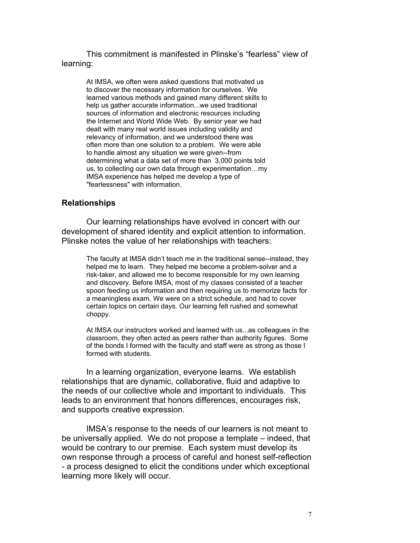This commitment is manifested in Plinske's "fearless" view of learning:

At IMSA, we often were asked questions that motivated us to discover the necessary information for ourselves. We learned various methods and gained many different skills to help us gather accurate information...we used traditional sources of information and electronic resources including the Internet and World Wide Web. By senior year we had dealt with many real world issues including validity and relevancy of information, and we understood there was often more than one solution to a problem. We were able to handle almost any situation we were given--from determining what a data set of more than 3,000 points told us, to collecting our own data through experimentation…my IMSA experience has helped me develop a type of "fearlessness" with information.

#### **Relationships**

Our learning relationships have evolved in concert with our development of shared identity and explicit attention to information. Plinske notes the value of her relationships with teachers:

The faculty at IMSA didn't teach me in the traditional sense--instead, they helped me to learn. They helped me become a problem-solver and a risk-taker, and allowed me to become responsible for my own learning and discovery. Before IMSA, most of my classes consisted of a teacher spoon feeding us information and then requiring us to memorize facts for a meaningless exam. We were on a strict schedule, and had to cover certain topics on certain days. Our learning felt rushed and somewhat choppy.

At IMSA our instructors worked and learned with us...as colleagues in the classroom, they often acted as peers rather than authority figures. Some of the bonds I formed with the faculty and staff were as strong as those I formed with students.

In a learning organization, everyone learns. We establish relationships that are dynamic, collaborative, fluid and adaptive to the needs of our collective whole and important to individuals. This leads to an environment that honors differences, encourages risk, and supports creative expression.

IMSA's response to the needs of our learners is not meant to be universally applied. We do not propose a template – indeed, that would be contrary to our premise. Each system must develop its own response through a process of careful and honest self-reflection - a process designed to elicit the conditions under which exceptional learning more likely will occur.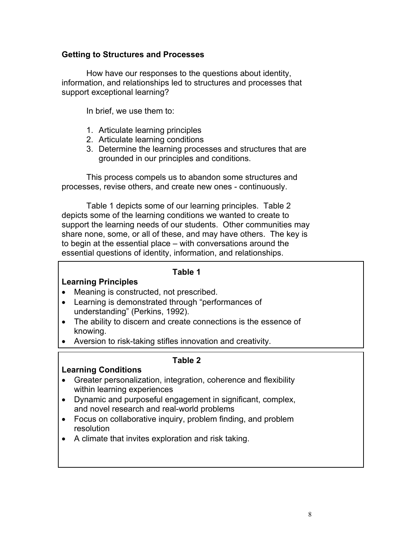# **Getting to Structures and Processes**

How have our responses to the questions about identity, information, and relationships led to structures and processes that support exceptional learning?

In brief, we use them to:

- 1. Articulate learning principles
- 2. Articulate learning conditions
- 3. Determine the learning processes and structures that are grounded in our principles and conditions.

 This process compels us to abandon some structures and processes, revise others, and create new ones - continuously.

Table 1 depicts some of our learning principles. Table 2 depicts some of the learning conditions we wanted to create to support the learning needs of our students. Other communities may share none, some, or all of these, and may have others. The key is to begin at the essential place – with conversations around the essential questions of identity, information, and relationships.

### **Table 1**

# **Learning Principles**

- Meaning is constructed, not prescribed.
- Learning is demonstrated through "performances of understanding" (Perkins, 1992).
- The ability to discern and create connections is the essence of knowing.
- Aversion to risk-taking stifles innovation and creativity.

# **Table 2**

# **Learning Conditions**

- Greater personalization, integration, coherence and flexibility within learning experiences
- Dynamic and purposeful engagement in significant, complex, and novel research and real-world problems
- Focus on collaborative inquiry, problem finding, and problem resolution
- A climate that invites exploration and risk taking.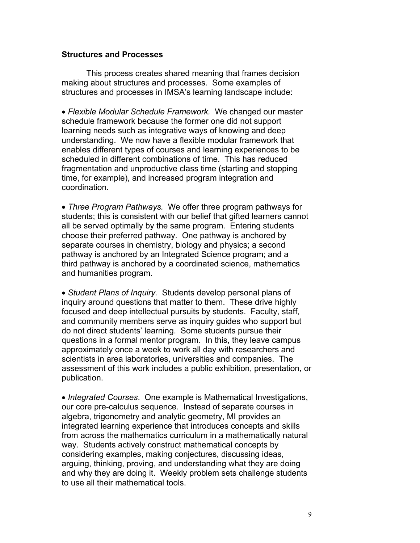### **Structures and Processes**

This process creates shared meaning that frames decision making about structures and processes. Some examples of structures and processes in IMSA's learning landscape include:

• Flexible Modular Schedule Framework. We changed our master schedule framework because the former one did not support learning needs such as integrative ways of knowing and deep understanding. We now have a flexible modular framework that enables different types of courses and learning experiences to be scheduled in different combinations of time. This has reduced fragmentation and unproductive class time (starting and stopping time, for example), and increased program integration and coordination.

• *Three Program Pathways.* We offer three program pathways for students; this is consistent with our belief that gifted learners cannot all be served optimally by the same program. Entering students choose their preferred pathway. One pathway is anchored by separate courses in chemistry, biology and physics; a second pathway is anchored by an Integrated Science program; and a third pathway is anchored by a coordinated science, mathematics and humanities program.

• Student Plans of Inquiry. Students develop personal plans of inquiry around questions that matter to them. These drive highly focused and deep intellectual pursuits by students. Faculty, staff, and community members serve as inquiry guides who support but do not direct students' learning. Some students pursue their questions in a formal mentor program. In this, they leave campus approximately once a week to work all day with researchers and scientists in area laboratories, universities and companies. The assessment of this work includes a public exhibition, presentation, or publication.

• *Integrated Courses*. One example is Mathematical Investigations, our core pre-calculus sequence. Instead of separate courses in algebra, trigonometry and analytic geometry, MI provides an integrated learning experience that introduces concepts and skills from across the mathematics curriculum in a mathematically natural way. Students actively construct mathematical concepts by considering examples, making conjectures, discussing ideas, arguing, thinking, proving, and understanding what they are doing and why they are doing it. Weekly problem sets challenge students to use all their mathematical tools.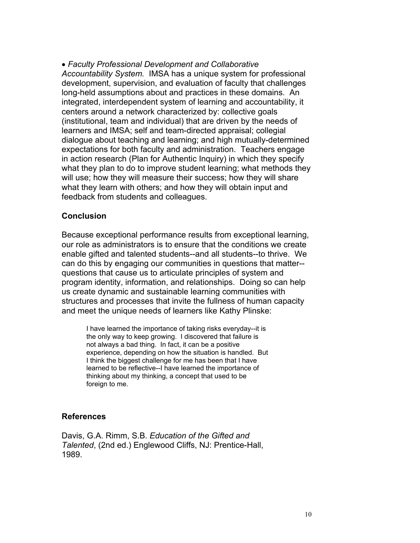x *Faculty Professional Development and Collaborative Accountability System.* IMSA has a unique system for professional development, supervision, and evaluation of faculty that challenges long-held assumptions about and practices in these domains. An integrated, interdependent system of learning and accountability, it centers around a network characterized by: collective goals (institutional, team and individual) that are driven by the needs of learners and IMSA; self and team-directed appraisal; collegial dialogue about teaching and learning; and high mutually-determined expectations for both faculty and administration. Teachers engage in action research (Plan for Authentic Inquiry) in which they specify what they plan to do to improve student learning; what methods they will use; how they will measure their success; how they will share what they learn with others; and how they will obtain input and feedback from students and colleagues.

# **Conclusion**

Because exceptional performance results from exceptional learning, our role as administrators is to ensure that the conditions we create enable gifted and talented students--and all students--to thrive. We can do this by engaging our communities in questions that matter- questions that cause us to articulate principles of system and program identity, information, and relationships. Doing so can help us create dynamic and sustainable learning communities with structures and processes that invite the fullness of human capacity and meet the unique needs of learners like Kathy Plinske:

I have learned the importance of taking risks everyday--it is the only way to keep growing. I discovered that failure is not always a bad thing. In fact, it can be a positive experience, depending on how the situation is handled. But I think the biggest challenge for me has been that I have learned to be reflective--I have learned the importance of thinking about my thinking, a concept that used to be foreign to me.

# **References**

Davis, G.A. Rimm, S.B. *Education of the Gifted and Talented*, (2nd ed.) Englewood Cliffs, NJ: Prentice-Hall, 1989.